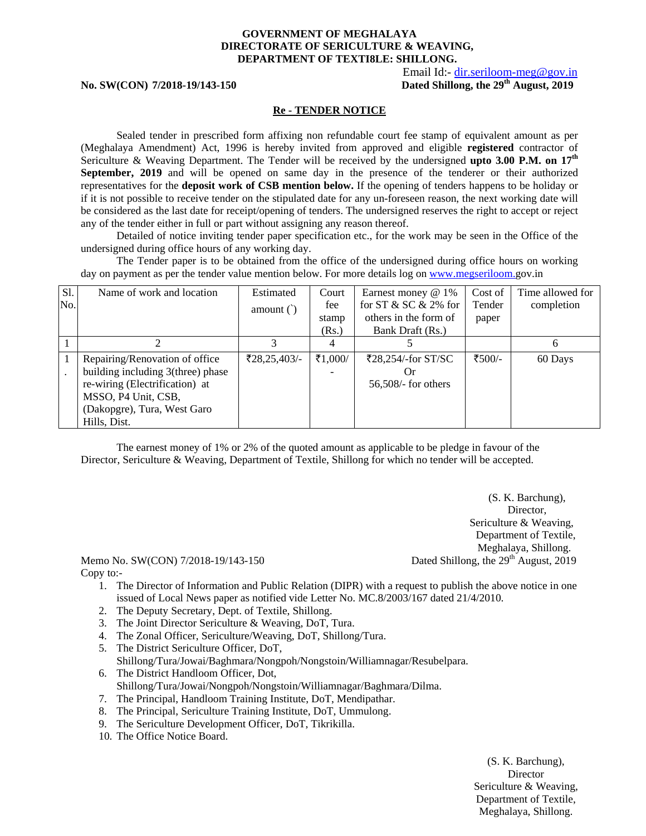#### **GOVERNMENT OF MEGHALAYA DIRECTORATE OF SERICULTURE & WEAVING, DEPARTMENT OF TEXTI8LE: SHILLONG.**

Email Id:- dir.seriloom-meg@gov.in

No. SW(CON) 7/2018-19/143-150 **Dated Shillong, the 29<sup>th</sup> August, 2019** 

#### **Re - TENDER NOTICE**

Sealed tender in prescribed form affixing non refundable court fee stamp of equivalent amount as per (Meghalaya Amendment) Act, 1996 is hereby invited from approved and eligible **registered** contractor of Sericulture & Weaving Department. The Tender will be received by the undersigned **upto 3.00 P.M. on 17th September, 2019** and will be opened on same day in the presence of the tenderer or their authorized representatives for the **deposit work of CSB mention below.** If the opening of tenders happens to be holiday or if it is not possible to receive tender on the stipulated date for any un-foreseen reason, the next working date will be considered as the last date for receipt/opening of tenders. The undersigned reserves the right to accept or reject any of the tender either in full or part without assigning any reason thereof.

Detailed of notice inviting tender paper specification etc., for the work may be seen in the Office of the undersigned during office hours of any working day.

The Tender paper is to be obtained from the office of the undersigned during office hours on working day on payment as per the tender value mention below. For more details log on www.megseriloom.gov.in

| Sl. | Name of work and location         | Estimated                | Court   | Earnest money $@1\%$      | Cost of | Time allowed for |
|-----|-----------------------------------|--------------------------|---------|---------------------------|---------|------------------|
| No. |                                   | amount $()$              | fee     | for ST $&$ SC $&$ 2\% for | Tender  | completion       |
|     |                                   |                          | stamp   | others in the form of     | paper   |                  |
|     |                                   |                          | (Rs.)   | Bank Draft (Rs.)          |         |                  |
|     |                                   |                          | 4       |                           |         | <sub>0</sub>     |
| -1  | Repairing/Renovation of office    | $\mathfrak{F}28,25,403/$ | ₹1,000/ | ₹28,254/-for ST/SC        | ₹500⁄-  | 60 Days          |
|     | building including 3(three) phase |                          |         | ( )r                      |         |                  |
|     | re-wiring (Electrification) at    |                          |         | 56,508/- for others       |         |                  |
|     | MSSO, P4 Unit, CSB,               |                          |         |                           |         |                  |
|     | (Dakopgre), Tura, West Garo       |                          |         |                           |         |                  |
|     | Hills, Dist.                      |                          |         |                           |         |                  |

The earnest money of 1% or 2% of the quoted amount as applicable to be pledge in favour of the Director, Sericulture & Weaving, Department of Textile, Shillong for which no tender will be accepted.

> (S. K. Barchung), Director, Sericulture & Weaving, Department of Textile, Meghalaya, Shillong.

Memo No. SW(CON)  $7/2018-19/143-150$  Dated Shillong, the  $29<sup>th</sup>$  August, 2019 Copy to:-

- 1. The Director of Information and Public Relation (DIPR) with a request to publish the above notice in one issued of Local News paper as notified vide Letter No. MC.8/2003/167 dated 21/4/2010.
- 2. The Deputy Secretary, Dept. of Textile, Shillong.
- 3. The Joint Director Sericulture & Weaving, DoT, Tura.
- 4. The Zonal Officer, Sericulture/Weaving, DoT, Shillong/Tura.
- 5. The District Sericulture Officer, DoT, Shillong/Tura/Jowai/Baghmara/Nongpoh/Nongstoin/Williamnagar/Resubelpara. 6. The District Handloom Officer, Dot,
- Shillong/Tura/Jowai/Nongpoh/Nongstoin/Williamnagar/Baghmara/Dilma.
- 7. The Principal, Handloom Training Institute, DoT, Mendipathar.
- 8. The Principal, Sericulture Training Institute, DoT, Ummulong.
- 9. The Sericulture Development Officer, DoT, Tikrikilla.
- 10. The Office Notice Board.

(S. K. Barchung), **Director** Sericulture & Weaving, Department of Textile, Meghalaya, Shillong.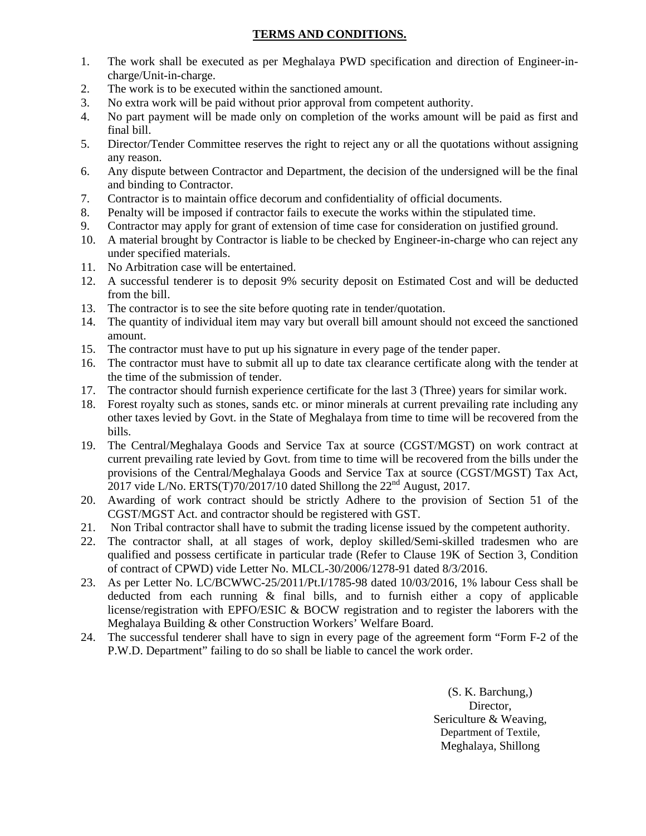# **TERMS AND CONDITIONS.**

- 1. The work shall be executed as per Meghalaya PWD specification and direction of Engineer-incharge/Unit-in-charge.
- 2. The work is to be executed within the sanctioned amount.
- 3. No extra work will be paid without prior approval from competent authority.
- 4. No part payment will be made only on completion of the works amount will be paid as first and final bill.
- 5. Director/Tender Committee reserves the right to reject any or all the quotations without assigning any reason.
- 6. Any dispute between Contractor and Department, the decision of the undersigned will be the final and binding to Contractor.
- 7. Contractor is to maintain office decorum and confidentiality of official documents.
- 8. Penalty will be imposed if contractor fails to execute the works within the stipulated time.
- 9. Contractor may apply for grant of extension of time case for consideration on justified ground.
- 10. A material brought by Contractor is liable to be checked by Engineer-in-charge who can reject any under specified materials.
- 11. No Arbitration case will be entertained.
- 12. A successful tenderer is to deposit 9% security deposit on Estimated Cost and will be deducted from the bill.
- 13. The contractor is to see the site before quoting rate in tender/quotation.
- 14. The quantity of individual item may vary but overall bill amount should not exceed the sanctioned amount.
- 15. The contractor must have to put up his signature in every page of the tender paper.
- 16. The contractor must have to submit all up to date tax clearance certificate along with the tender at the time of the submission of tender.
- 17. The contractor should furnish experience certificate for the last 3 (Three) years for similar work.
- 18. Forest royalty such as stones, sands etc. or minor minerals at current prevailing rate including any other taxes levied by Govt. in the State of Meghalaya from time to time will be recovered from the bills.
- 19. The Central/Meghalaya Goods and Service Tax at source (CGST/MGST) on work contract at current prevailing rate levied by Govt. from time to time will be recovered from the bills under the provisions of the Central/Meghalaya Goods and Service Tax at source (CGST/MGST) Tax Act, 2017 vide L/No. ERTS(T)70/2017/10 dated Shillong the  $22<sup>nd</sup>$  August, 2017.
- 20. Awarding of work contract should be strictly Adhere to the provision of Section 51 of the CGST/MGST Act. and contractor should be registered with GST.
- 21. Non Tribal contractor shall have to submit the trading license issued by the competent authority.
- 22. The contractor shall, at all stages of work, deploy skilled/Semi-skilled tradesmen who are qualified and possess certificate in particular trade (Refer to Clause 19K of Section 3, Condition of contract of CPWD) vide Letter No. MLCL-30/2006/1278-91 dated 8/3/2016.
- 23. As per Letter No. LC/BCWWC-25/2011/Pt.I/1785-98 dated 10/03/2016, 1% labour Cess shall be deducted from each running & final bills, and to furnish either a copy of applicable license/registration with EPFO/ESIC & BOCW registration and to register the laborers with the Meghalaya Building & other Construction Workers' Welfare Board.
- 24. The successful tenderer shall have to sign in every page of the agreement form "Form F-2 of the P.W.D. Department" failing to do so shall be liable to cancel the work order.

(S. K. Barchung,) Director, Sericulture & Weaving, Department of Textile, Meghalaya, Shillong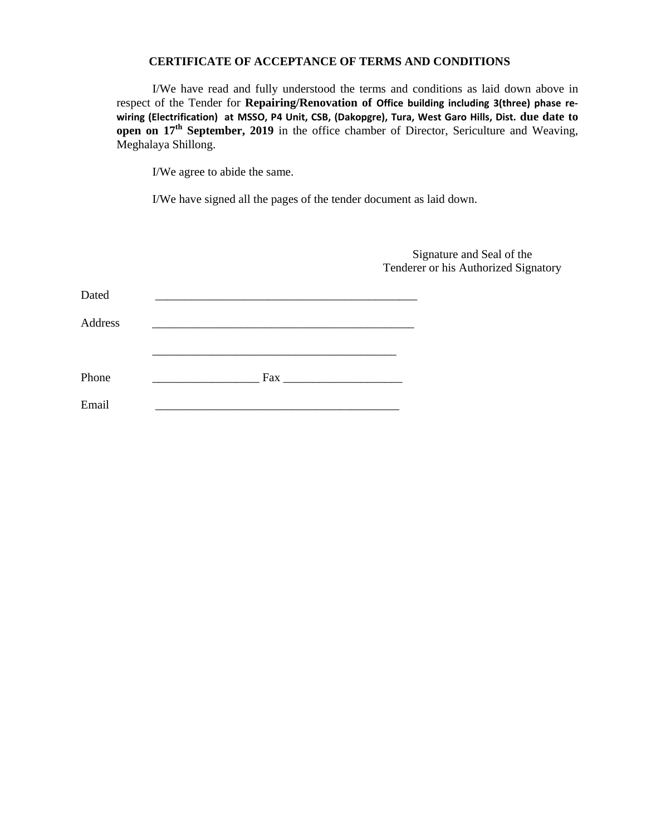#### **CERTIFICATE OF ACCEPTANCE OF TERMS AND CONDITIONS**

I/We have read and fully understood the terms and conditions as laid down above in respect of the Tender for **Repairing/Renovation of Office building including 3(three) phase re‐ wiring (Electrification) at MSSO, P4 Unit, CSB, (Dakopgre), Tura, West Garo Hills, Dist. due date to open on 17<sup>th</sup> September, 2019** in the office chamber of Director, Sericulture and Weaving, Meghalaya Shillong.

I/We agree to abide the same.

I/We have signed all the pages of the tender document as laid down.

|         |     | Signature and Seal of the<br>Tenderer or his Authorized Signatory |
|---------|-----|-------------------------------------------------------------------|
| Dated   |     |                                                                   |
| Address |     |                                                                   |
|         |     |                                                                   |
| Phone   | Fax |                                                                   |
| Email   |     |                                                                   |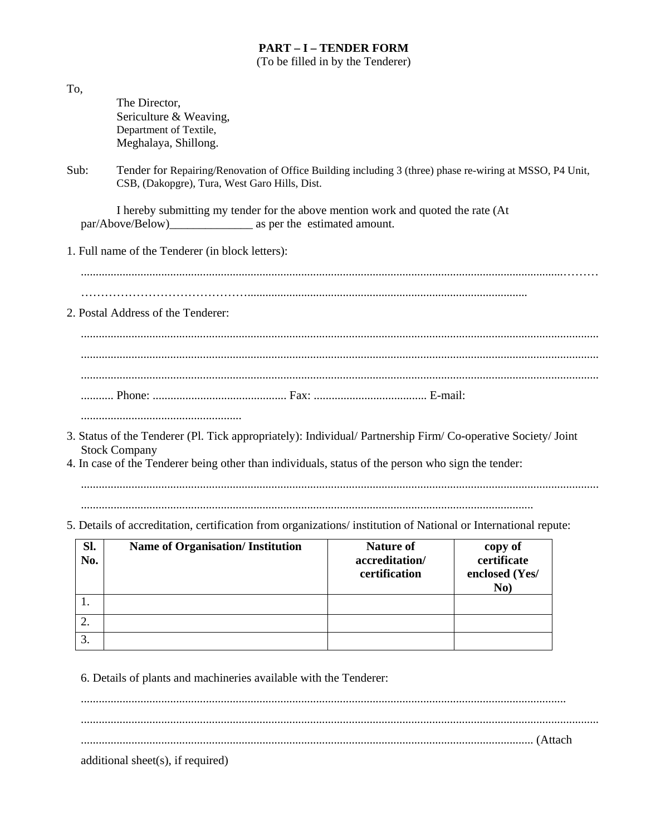# **PART – I – TENDER FORM**

(To be filled in by the Tenderer)

| Sl.<br>No.<br>1. | 5. Details of accreditation, certification from organizations/institution of National or International repute:<br><b>Name of Organisation/Institution</b>                                                                                   | <b>Nature of</b><br>accreditation/<br>certification | copy of<br>certificate<br>enclosed (Yes/<br>No) |
|------------------|---------------------------------------------------------------------------------------------------------------------------------------------------------------------------------------------------------------------------------------------|-----------------------------------------------------|-------------------------------------------------|
|                  |                                                                                                                                                                                                                                             |                                                     |                                                 |
|                  |                                                                                                                                                                                                                                             |                                                     |                                                 |
|                  |                                                                                                                                                                                                                                             |                                                     |                                                 |
|                  | 3. Status of the Tenderer (Pl. Tick appropriately): Individual/ Partnership Firm/ Co-operative Society/ Joint<br><b>Stock Company</b><br>4. In case of the Tenderer being other than individuals, status of the person who sign the tender: |                                                     |                                                 |
|                  |                                                                                                                                                                                                                                             |                                                     |                                                 |
|                  | 2. Postal Address of the Tenderer:                                                                                                                                                                                                          |                                                     |                                                 |
|                  | 1. Full name of the Tenderer (in block letters):                                                                                                                                                                                            |                                                     |                                                 |
|                  | I hereby submitting my tender for the above mention work and quoted the rate (At                                                                                                                                                            |                                                     |                                                 |
| Sub:             | Tender for Repairing/Renovation of Office Building including 3 (three) phase re-wiring at MSSO, P4 Unit,<br>CSB, (Dakopgre), Tura, West Garo Hills, Dist.                                                                                   |                                                     |                                                 |
|                  | Sericulture & Weaving,<br>Department of Textile,<br>Meghalaya, Shillong.                                                                                                                                                                    |                                                     |                                                 |

................................................................................................................................................................... .............................................................................................................................................................................. ........................................................................................................................................................ (Attach

additional sheet(s), if required)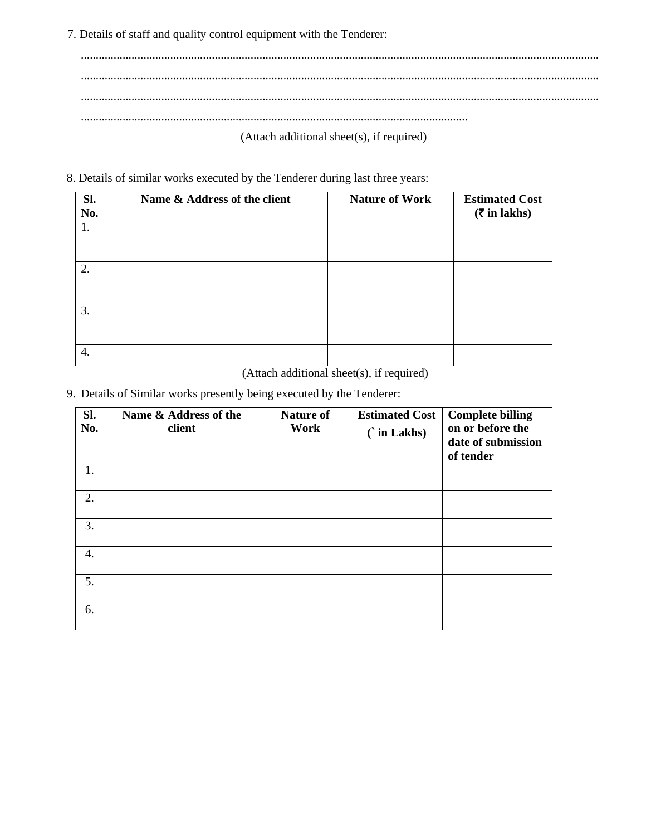7. Details of staff and quality control equipment with the Tenderer:

.............................................................................................................................................................................. .............................................................................................................................................................................. .............................................................................................................................................................................. .................................................................................................................................. (Attach additional sheet(s), if required)

8. Details of similar works executed by the Tenderer during last three years:

| Sl.<br>No. | Name & Address of the client | <b>Nature of Work</b> | <b>Estimated Cost</b><br>$(\bar{\bar{\mathbf{x}}}$ in lakhs) |
|------------|------------------------------|-----------------------|--------------------------------------------------------------|
| 1.         |                              |                       |                                                              |
| 2.         |                              |                       |                                                              |
| 3.         |                              |                       |                                                              |
| 4.         |                              |                       |                                                              |

(Attach additional sheet(s), if required)

9. Details of Similar works presently being executed by the Tenderer:

| SI.<br>No. | Name & Address of the<br>client | <b>Nature of</b><br>Work | <b>Estimated Cost</b><br>$\hat{\ }$ in Lakhs) | <b>Complete billing</b><br>on or before the<br>date of submission<br>of tender |
|------------|---------------------------------|--------------------------|-----------------------------------------------|--------------------------------------------------------------------------------|
| 1.         |                                 |                          |                                               |                                                                                |
| 2.         |                                 |                          |                                               |                                                                                |
| 3.         |                                 |                          |                                               |                                                                                |
| 4.         |                                 |                          |                                               |                                                                                |
| 5.         |                                 |                          |                                               |                                                                                |
| 6.         |                                 |                          |                                               |                                                                                |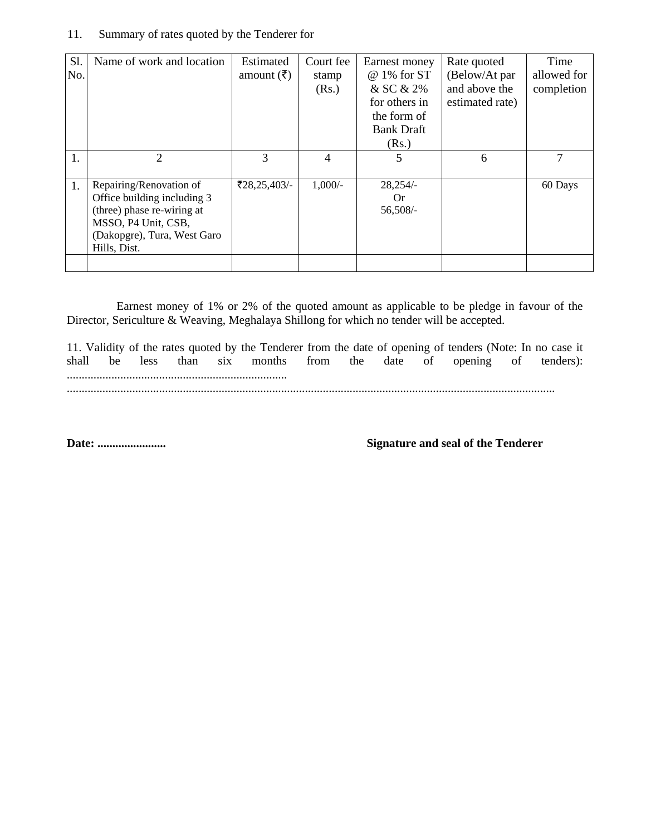#### 11. Summary of rates quoted by the Tenderer for

| Sl.<br>No. | Name of work and location                                                                                                                                  | Estimated<br>amount $(\bar{\zeta})$ | Court fee<br>stamp<br>(Rs.) | Earnest money<br>@ 1% for ST<br>& SC & 2%<br>for others in<br>the form of<br><b>Bank Draft</b> | Rate quoted<br>(Below/At par<br>and above the<br>estimated rate) | Time<br>allowed for<br>completion |
|------------|------------------------------------------------------------------------------------------------------------------------------------------------------------|-------------------------------------|-----------------------------|------------------------------------------------------------------------------------------------|------------------------------------------------------------------|-----------------------------------|
|            |                                                                                                                                                            |                                     |                             | (Rs.)                                                                                          |                                                                  |                                   |
| 1.         | $\mathfrak{D}$                                                                                                                                             | 3                                   | 4                           |                                                                                                | 6                                                                | 7                                 |
| 1.         | Repairing/Renovation of<br>Office building including 3<br>(three) phase re-wiring at<br>MSSO, P4 Unit, CSB,<br>(Dakopgre), Tura, West Garo<br>Hills, Dist. | $\text{\textsterling}28,25,403/-$   | $1,000/-$                   | $28,254/-$<br>Or.<br>56,508/-                                                                  |                                                                  | 60 Days                           |

Earnest money of 1% or 2% of the quoted amount as applicable to be pledge in favour of the Director, Sericulture & Weaving, Meghalaya Shillong for which no tender will be accepted.

11. Validity of the rates quoted by the Tenderer from the date of opening of tenders (Note: In no case it shall be less than six months from the date of opening of tenders): .......................................................................... ....................................................................................................................................................................

**Date: ....................... Signature and seal of the Tenderer**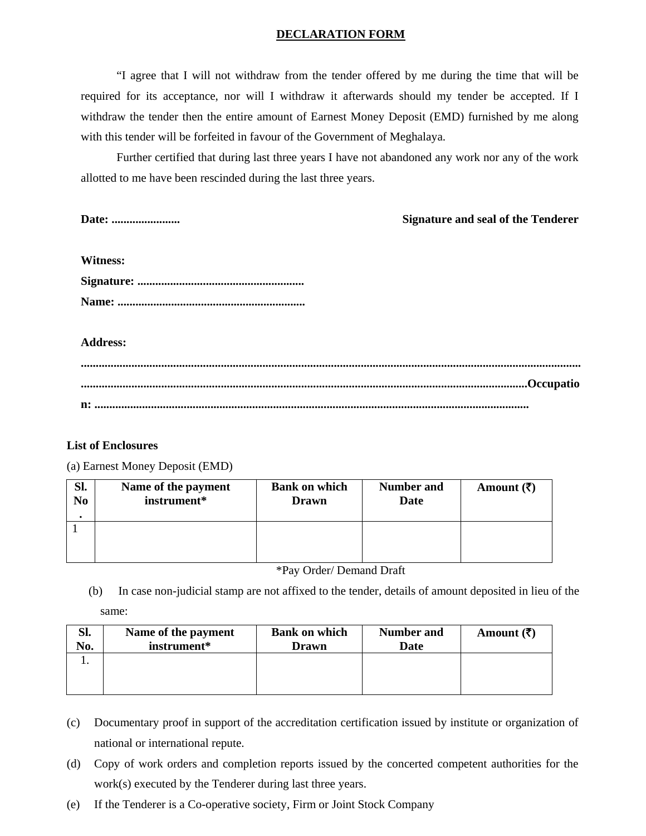### **DECLARATION FORM**

"I agree that I will not withdraw from the tender offered by me during the time that will be required for its acceptance, nor will I withdraw it afterwards should my tender be accepted. If I withdraw the tender then the entire amount of Earnest Money Deposit (EMD) furnished by me along with this tender will be forfeited in favour of the Government of Meghalaya.

Further certified that during last three years I have not abandoned any work nor any of the work allotted to me have been rescinded during the last three years.

| Date:           | <b>Signature and seal of the Tenderer</b> |
|-----------------|-------------------------------------------|
|                 |                                           |
| <b>Witness:</b> |                                           |
|                 |                                           |
|                 |                                           |
|                 |                                           |
| <b>Address:</b> |                                           |
|                 |                                           |
|                 |                                           |
|                 |                                           |

#### **List of Enclosures**

(a) Earnest Money Deposit (EMD)

| SI.            | Name of the payment | <b>Bank on which</b> | <b>Number and</b> | Amount $(\overline{\mathbf{z}})$ |
|----------------|---------------------|----------------------|-------------------|----------------------------------|
| N <sub>0</sub> | instrument*         | Drawn                | Date              |                                  |
|                |                     |                      |                   |                                  |

\*Pay Order/ Demand Draft

(b) In case non-judicial stamp are not affixed to the tender, details of amount deposited in lieu of the

| ame |
|-----|
|-----|

| Sl.<br>No. | Name of the payment<br>instrument* | <b>Bank on which</b><br>Drawn | <b>Number and</b><br>Date | Amount $(\overline{\zeta})$ |
|------------|------------------------------------|-------------------------------|---------------------------|-----------------------------|
|            |                                    |                               |                           |                             |
|            |                                    |                               |                           |                             |

- (c) Documentary proof in support of the accreditation certification issued by institute or organization of national or international repute.
- (d) Copy of work orders and completion reports issued by the concerted competent authorities for the work(s) executed by the Tenderer during last three years.
- (e) If the Tenderer is a Co-operative society, Firm or Joint Stock Company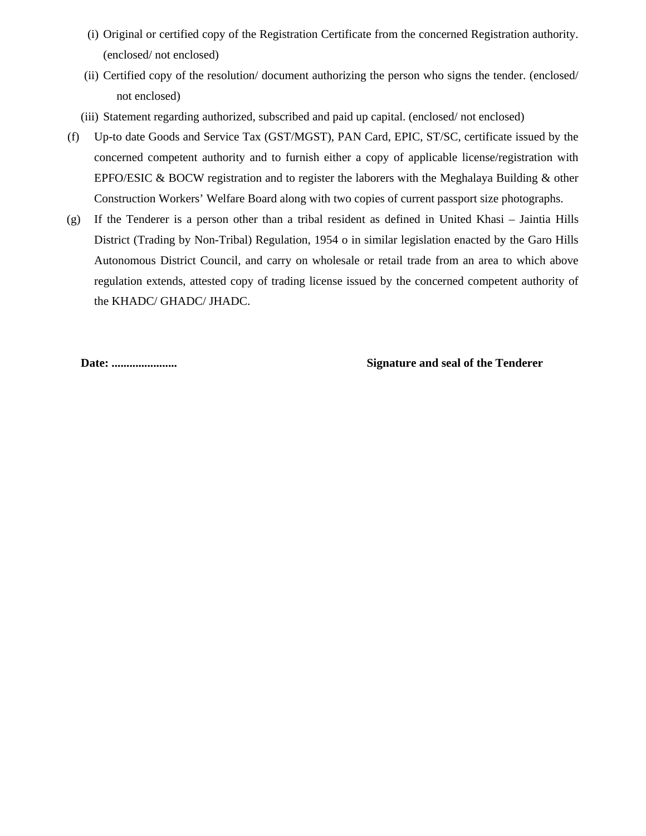- (i) Original or certified copy of the Registration Certificate from the concerned Registration authority. (enclosed/ not enclosed)
- (ii) Certified copy of the resolution/ document authorizing the person who signs the tender. (enclosed/ not enclosed)
- (iii) Statement regarding authorized, subscribed and paid up capital. (enclosed/ not enclosed)
- (f) Up-to date Goods and Service Tax (GST/MGST), PAN Card, EPIC, ST/SC, certificate issued by the concerned competent authority and to furnish either a copy of applicable license/registration with EPFO/ESIC & BOCW registration and to register the laborers with the Meghalaya Building & other Construction Workers' Welfare Board along with two copies of current passport size photographs.
- (g) If the Tenderer is a person other than a tribal resident as defined in United Khasi Jaintia Hills District (Trading by Non-Tribal) Regulation, 1954 o in similar legislation enacted by the Garo Hills Autonomous District Council, and carry on wholesale or retail trade from an area to which above regulation extends, attested copy of trading license issued by the concerned competent authority of the KHADC/ GHADC/ JHADC.

## **Date: ...................... Signature and seal of the Tenderer**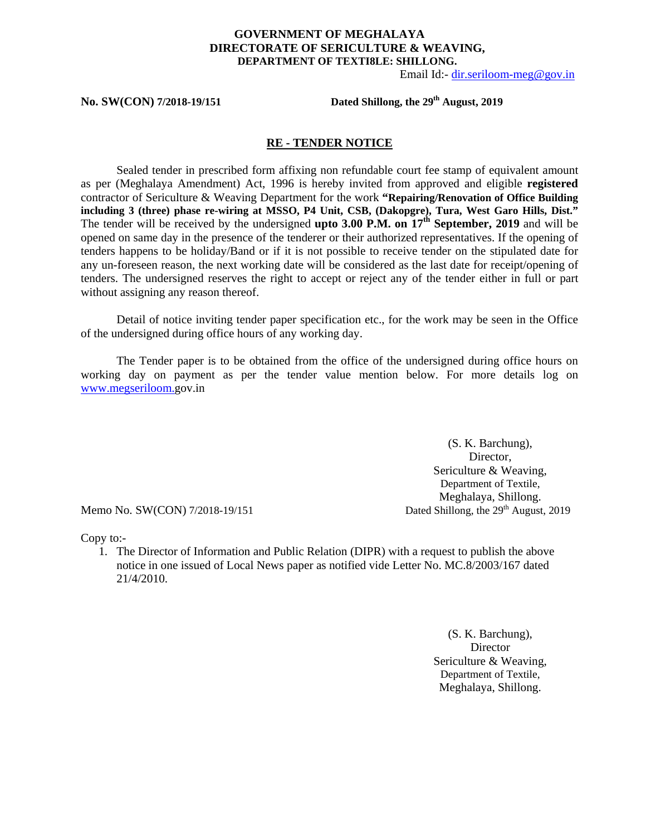### **GOVERNMENT OF MEGHALAYA DIRECTORATE OF SERICULTURE & WEAVING, DEPARTMENT OF TEXTI8LE: SHILLONG.**

Email Id:- dir.seriloom-meg@gov.in

No. SW(CON) 7/2018-19/151 **Dated Shillong, the 29<sup>th</sup> August, 2019** 

#### **RE - TENDER NOTICE**

Sealed tender in prescribed form affixing non refundable court fee stamp of equivalent amount as per (Meghalaya Amendment) Act, 1996 is hereby invited from approved and eligible **registered**  contractor of Sericulture & Weaving Department for the work **"Repairing/Renovation of Office Building including 3 (three) phase re-wiring at MSSO, P4 Unit, CSB, (Dakopgre), Tura, West Garo Hills, Dist."**  The tender will be received by the undersigned **upto 3.00 P.M. on 17th September, 2019** and will be opened on same day in the presence of the tenderer or their authorized representatives. If the opening of tenders happens to be holiday/Band or if it is not possible to receive tender on the stipulated date for any un-foreseen reason, the next working date will be considered as the last date for receipt/opening of tenders. The undersigned reserves the right to accept or reject any of the tender either in full or part without assigning any reason thereof.

Detail of notice inviting tender paper specification etc., for the work may be seen in the Office of the undersigned during office hours of any working day.

The Tender paper is to be obtained from the office of the undersigned during office hours on working day on payment as per the tender value mention below. For more details log on www.megseriloom.gov.in

(S. K. Barchung), Director, Sericulture & Weaving, Department of Textile, Meghalaya, Shillong. Memo No. SW(CON) 7/2018-19/151 Dated Shillong, the 29<sup>th</sup> August, 2019

Copy to:-

1. The Director of Information and Public Relation (DIPR) with a request to publish the above notice in one issued of Local News paper as notified vide Letter No. MC.8/2003/167 dated 21/4/2010.

> (S. K. Barchung), **Director** Sericulture & Weaving, Department of Textile, Meghalaya, Shillong.